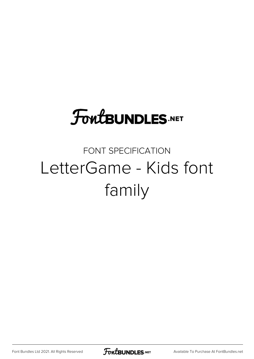## **FoutBUNDLES.NET**

### FONT SPECIFICATION LetterGame - Kids font family

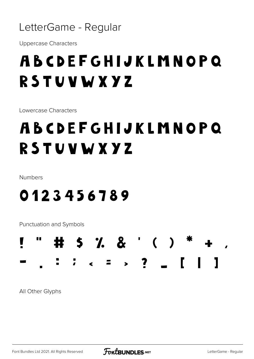

**Uppercase Characters** 

## ABCDEFGHIJKLMNOPQ RSTUVWXYZ

Lowercase Characters

## ABCDEFGHIJKLMNOPQ RSTUVWXYZ

Numbers

#### 0123456789

Punctuation and Symbols

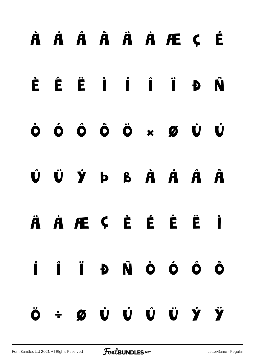# À Á Â Ã Ä Å Æ Ç È É Ê Ë Ì Í Î Ï Ð Ñ Ò Ó Ô Õ Ö × Ø Ù Ú Û Ü Ý Þ ß à á â ã ä å æ ç è é ê ë ì í î ï ð ñ ò ó ô õ ö ÷ ø ù ú û ü ý ÿ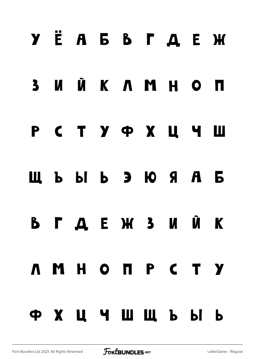# Ÿ Ё А Б В Г Д Е Ж З И Й К Л М Н О П Р С Т У Ф Х Ц Ч Ш Щ Ъ Ы Ь Э Ю Я а б в г д е ж з и й к л м н о п р с т у ф х ц ч ш щ ъ ы ь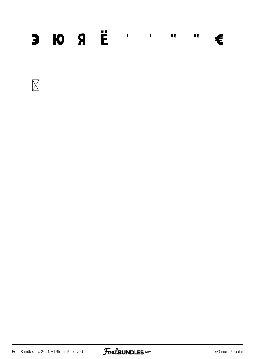#### $3 10 9 E$ €



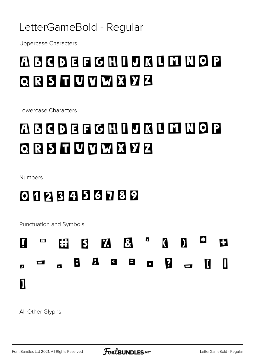#### LetterGameBold - Regular

**Uppercase Characters** 

### **ABCDEFGHIJKLMNOP** QRSTUVWXYZ

Lowercase Characters

## ABCDEFGHIDKIMNOP QRSTUVWXYZ

Numbers

#### 0123456789

Punctuation and Symbols

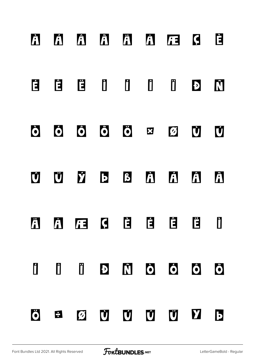# **À Á Â Ã Ä Å Æ Ç È É Ê Ë Ì Í Î Ï Ð Ñ Ò Ó Ô Õ Ö × Ø Ù Ú Û Ü Ý Þ ß à á â ã ä å æ ç è é ê ë ì í î ï ð ñ ò ó ô õ ö ÷ ø ù ú û ü ý þ**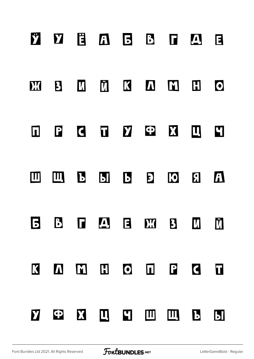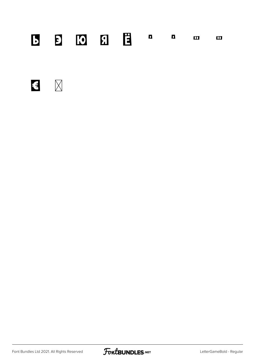#### $\blacksquare$  $\Box$  $\mathbf{m}$

 $\mathbf{E}$ 

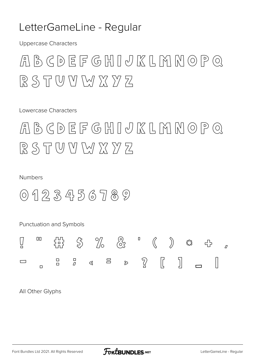#### LetterGameLine - Regular

**Uppercase Characters** 

### $A$ BCDEFGHIJKLMMOPQ  $RSTWWMXYZ$

Lowercase Characters

 $A$ BCDEFGHIJKLMMOPQ RSTUVMXYZ

#### Numbers

 $0123456789$ 

Punctuation and Symbols 00  $\overline{\mathbf{u}}$ 짫  $\mathcal{Q}$  $\sqrt{ }$  $\mathbb{I}$  $\triangleright$   $\widehat{2}$  $\Box$  $\Xi$  $\Box$  $\lhd$  $\Box$  $\Box$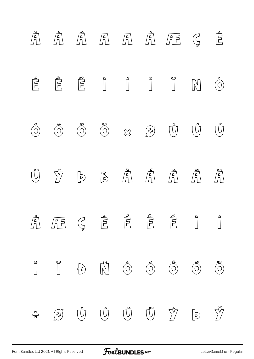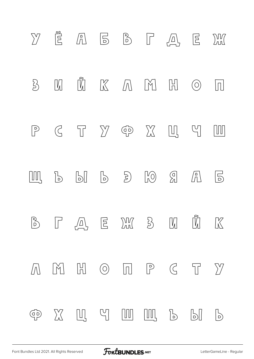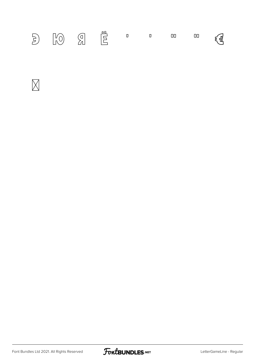|--|--|--|--|--|--|--|--|--|



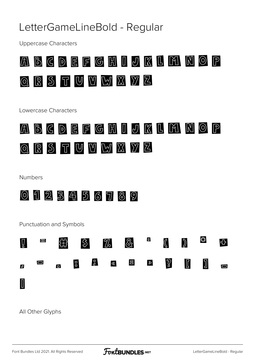#### LetterGameLineBold - Regular

**Uppercase Characters** 



Lowercase Characters



Numbers



Punctuation and Symbols

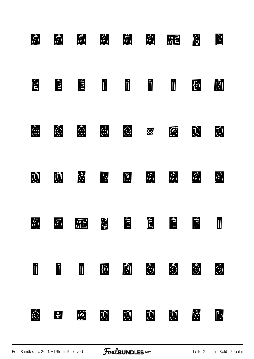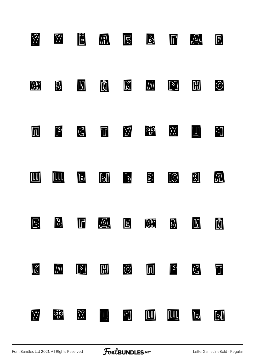